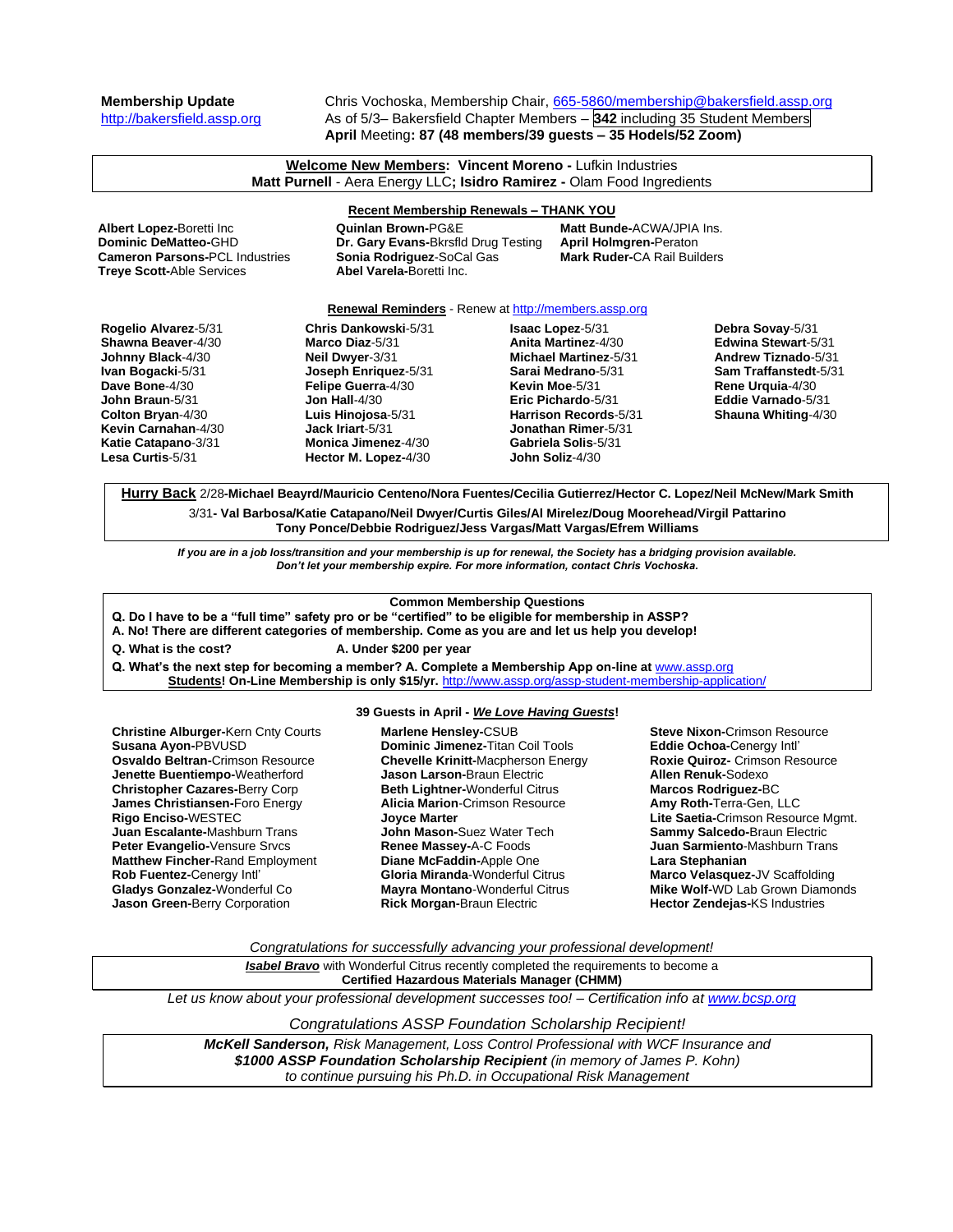**Membership Update** Chris Vochoska, Membership Chair, [665-5860/membership@bakersfield.assp.org](mailto:665-5860/membership@bakersfield.assp.org) [http://bakersfield.assp.org](http://bakersfield.assp.org/) As of 5/3– Bakersfield Chapter Members – **342** including 35 Student Members **April** Meeting**: 87 (48 members/39 guests – 35 Hodels/52 Zoom)**

| Welcome New Members: Vincent Moreno - Lufkin Industries<br>Matt Purnell - Aera Energy LLC; Isidro Ramirez - Olam Food Ingredients                                                                                                                                                                                                                                                                                               |                                                                                                                                                                                                                       |                                                                                                                                                                                                                                                                                                       |                                                                                                                                                                 |
|---------------------------------------------------------------------------------------------------------------------------------------------------------------------------------------------------------------------------------------------------------------------------------------------------------------------------------------------------------------------------------------------------------------------------------|-----------------------------------------------------------------------------------------------------------------------------------------------------------------------------------------------------------------------|-------------------------------------------------------------------------------------------------------------------------------------------------------------------------------------------------------------------------------------------------------------------------------------------------------|-----------------------------------------------------------------------------------------------------------------------------------------------------------------|
| <b>Recent Membership Renewals - THANK YOU</b><br>Albert Lopez-Boretti Inc<br><b>Quinlan Brown-PG&amp;E</b><br>Matt Bunde-ACWA/JPIA Ins.<br>Dominic DeMatteo-GHD<br>Dr. Gary Evans-Bkrsfld Drug Testing<br><b>April Holmgren-Peraton</b><br><b>Mark Ruder-CA Rail Builders</b><br><b>Cameron Parsons-PCL Industries</b><br>Sonia Rodriguez-SoCal Gas<br>Abel Varela-Boretti Inc.<br><b>Treye Scott-Able Services</b>             |                                                                                                                                                                                                                       |                                                                                                                                                                                                                                                                                                       |                                                                                                                                                                 |
| Rogelio Alvarez-5/31<br>Shawna Beaver-4/30<br>Johnny Black-4/30<br>Ivan Bogacki-5/31<br>Dave Bone-4/30<br>John Braun-5/31<br>Colton Bryan-4/30<br>Kevin Carnahan-4/30<br>Katie Catapano-3/31<br>Lesa Curtis-5/31                                                                                                                                                                                                                | Chris Dankowski-5/31<br>Marco Diaz-5/31<br>Neil Dwyer-3/31<br>Joseph Enriquez-5/31<br>Felipe Guerra-4/30<br>Jon Hall- $4/30$<br>Luis Hinojosa-5/31<br>Jack Iriart-5/31<br>Monica Jimenez-4/30<br>Hector M. Lopez-4/30 | <b>Renewal Reminders</b> - Renew at http://members.assp.org<br><b>Isaac Lopez-5/31</b><br>Anita Martinez-4/30<br><b>Michael Martinez-5/31</b><br>Sarai Medrano-5/31<br>Kevin Moe-5/31<br>Eric Pichardo-5/31<br>Harrison Records-5/31<br>Jonathan Rimer-5/31<br>Gabriela Solis-5/31<br>John Soliz-4/30 | Debra Sovay-5/31<br>Edwina Stewart-5/31<br>Andrew Tiznado-5/31<br>Sam Traffanstedt-5/31<br>Rene Urquia-4/30<br>Eddie Varnado-5/31<br><b>Shauna Whiting-4/30</b> |
| Hurry Back 2/28-Michael Beayrd/Mauricio Centeno/Nora Fuentes/Cecilia Gutierrez/Hector C. Lopez/Neil McNew/Mark Smith<br>3/31- Val Barbosa/Katie Catapano/Neil Dwyer/Curtis Giles/Al Mirelez/Doug Moorehead/Virgil Pattarino<br>Tony Ponce/Debbie Rodriguez/Jess Vargas/Matt Vargas/Efrem Williams<br>If you are in a job loss/transition and your membership is up for renewal, the Society has a bridging provision available. |                                                                                                                                                                                                                       |                                                                                                                                                                                                                                                                                                       |                                                                                                                                                                 |

*Don't let your membership expire. For more information, contact Chris Vochoska.* 

### **Common Membership Questions**

**Q. Do I have to be a "full time" safety pro or be "certified" to be eligible for membership in ASSP?** 

**A. No! There are different categories of membership. Come as you are and let us help you develop!** 

**Q. What's the next step for becoming a member? A. Complete a Membership App on-line at** [www.assp.org](http://www.assp.org/)

**Q. What is the cost? A. Under \$200 per year**

# **39 Guests in April -** *We Love Having Guests***!**

**Students! On-Line Membership is only \$15/yr.** <http://www.assp.org/assp-student-membership-application/>

**Marlene Hensley-**CSUB

**Christine Alburger-**Kern Cnty Courts **Susana Ayon-**PBVUSD **Osvaldo Beltran-**Crimson Resource **Jenette Buentiempo-**Weatherford **Christopher Cazares-**Berry Corp **James Christiansen-**Foro Energy **Rigo Enciso-**WESTEC **Juan Escalante-**Mashburn Trans **Peter Evangelio-**Vensure Srvcs **Matthew Fincher-**Rand Employment **Rob Fuentez-**Cenergy Intl' **Gladys Gonzalez-**Wonderful Co **Jason Green-**Berry Corporation

**Dominic Jimenez-**Titan Coil Tools **Chevelle Krinitt-**Macpherson Energy **Jason Larson-**Braun Electric **Beth Lightner-**Wonderful Citrus **Alicia Marion**-Crimson Resource **Joyce Marter John Mason-**Suez Water Tech **Renee Massey-**A-C Foods **Diane McFaddin-**Apple One **Gloria Miranda**-Wonderful Citrus

**Mayra Montano**-Wonderful Citrus **Rick Morgan-**Braun Electric

**Steve Nixon-**Crimson Resource **Eddie Ochoa-**Cenergy Intl' **Roxie Quiroz-** Crimson Resource **Allen Renuk-**Sodexo **Marcos Rodriguez-**BC **Amy Roth-**Terra-Gen, LLC **Lite Saetia-**Crimson Resource Mgmt. **Sammy Salcedo-**Braun Electric **Juan Sarmiento**-Mashburn Trans **Lara Stephanian Marco Velasquez-**JV Scaffolding **Mike Wolf-**WD Lab Grown Diamonds **Hector Zendejas-**KS Industries

*Congratulations for successfully advancing your professional development!*

*Isabel Bravo* with Wonderful Citrus recently completed the requirements to become a

**Certified Hazardous Materials Manager (CHMM)**

*Let us know about your professional development successes too! – Certification info at [www.bcsp.org](http://www.bcsp.org/)*

*Congratulations ASSP Foundation Scholarship Recipient!* 

*McKell Sanderson, Risk Management, Loss Control Professional with WCF Insurance and \$1000 ASSP Foundation Scholarship Recipient (in memory of James P. Kohn) to continue pursuing his Ph.D. in Occupational Risk Management*